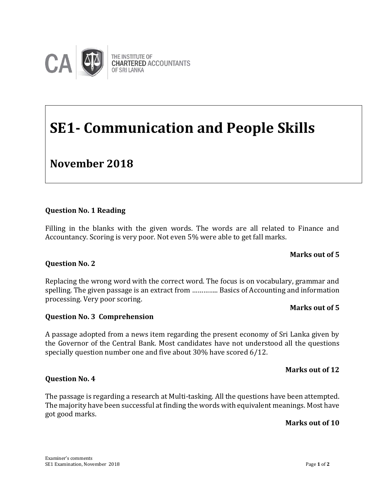

# **SE1- Communication and People Skills**

### **November 2018**

#### **Question No. 1 Reading**

Filling in the blanks with the given words. The words are all related to Finance and Accountancy. Scoring is very poor. Not even 5% were able to get fall marks.

#### **Marks out of 5**

## **Question No. 2 Examiner's Comments**

Replacing the wrong word with the correct word. The focus is on vocabulary, grammar and spelling. The given passage is an extract from ………….. Basics of Accounting and information processing. Very poor scoring.

#### **Marks out of 5**

#### **Question No. 3 Comprehension**

A passage adopted from a news item regarding the present economy of Sri Lanka given by the Governor of the Central Bank. Most candidates have not understood all the questions specially question number one and five about 30% have scored 6/12.

#### **Marks out of 12**

#### **Question No. 4**

The passage is regarding a research at Multi-tasking. All the questions have been attempted. The majority have been successful at finding the words with equivalent meanings. Most have got good marks.

#### **Marks out of 10**